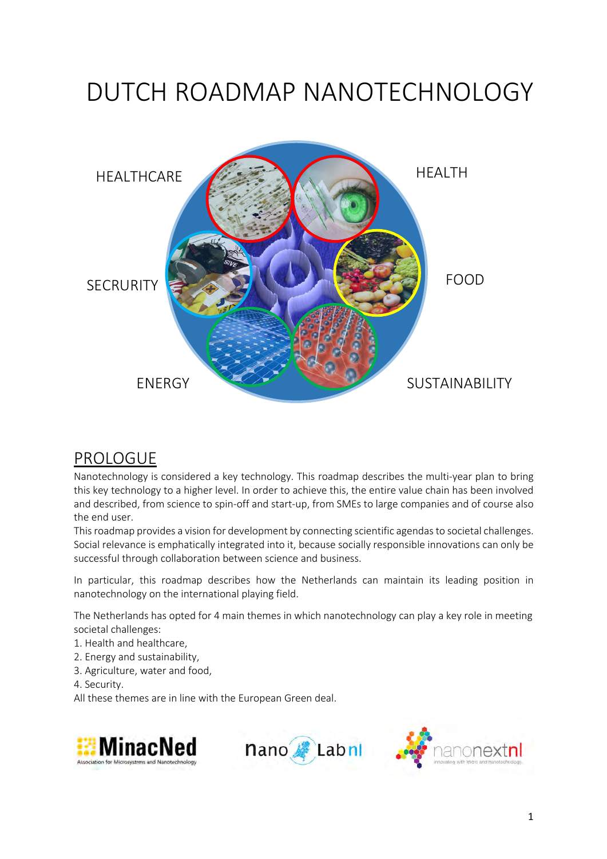# DUTCH ROADMAP NANOTECHNOLOGY



# PROLOGUE

Nanotechnology is considered a key technology. This roadmap describes the multi-year plan to bring this key technology to a higher level. In order to achieve this, the entire value chain has been involved and described, from science to spin-off and start-up, from SMEs to large companies and of course also the end user.

This roadmap provides a vision for development by connecting scientific agendas to societal challenges. Social relevance is emphatically integrated into it, because socially responsible innovations can only be successful through collaboration between science and business.

In particular, this roadmap describes how the Netherlands can maintain its leading position in nanotechnology on the international playing field.

The Netherlands has opted for 4 main themes in which nanotechnology can play a key role in meeting societal challenges:

- 1. Health and healthcare,
- 2. Energy and sustainability,
- 3. Agriculture, water and food,
- 4. Security.

All these themes are in line with the European Green deal.





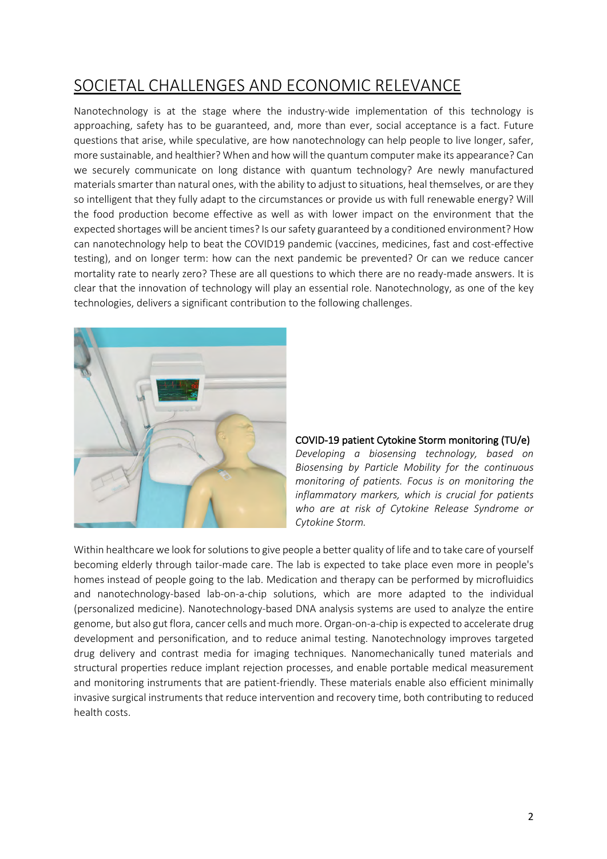# SOCIETAL CHALLENGES AND ECONOMIC RELEVANCE

Nanotechnology is at the stage where the industry-wide implementation of this technology is approaching, safety has to be guaranteed, and, more than ever, social acceptance is a fact. Future questions that arise, while speculative, are how nanotechnology can help people to live longer, safer, more sustainable, and healthier? When and how will the quantum computer make its appearance? Can we securely communicate on long distance with quantum technology? Are newly manufactured materials smarter than natural ones, with the ability to adjust to situations, heal themselves, or are they so intelligent that they fully adapt to the circumstances or provide us with full renewable energy? Will the food production become effective as well as with lower impact on the environment that the expected shortages will be ancient times? Is our safety guaranteed by a conditioned environment? How can nanotechnology help to beat the COVID19 pandemic (vaccines, medicines, fast and cost-effective testing), and on longer term: how can the next pandemic be prevented? Or can we reduce cancer mortality rate to nearly zero? These are all questions to which there are no ready-made answers. It is clear that the innovation of technology will play an essential role. Nanotechnology, as one of the key technologies, delivers a significant contribution to the following challenges.



### COVID-19 patient Cytokine Storm monitoring (TU/e)

*Developing a biosensing technology, based on Biosensing by Particle Mobility for the continuous monitoring of patients. Focus is on monitoring the inflammatory markers, which is crucial for patients who are at risk of Cytokine Release Syndrome or Cytokine Storm.*

Within healthcare we look for solutions to give people a better quality of life and to take care of yourself becoming elderly through tailor-made care. The lab is expected to take place even more in people's homes instead of people going to the lab. Medication and therapy can be performed by microfluidics and nanotechnology-based lab-on-a-chip solutions, which are more adapted to the individual (personalized medicine). Nanotechnology-based DNA analysis systems are used to analyze the entire genome, but also gut flora, cancer cells and much more. Organ-on-a-chip is expected to accelerate drug development and personification, and to reduce animal testing. Nanotechnology improves targeted drug delivery and contrast media for imaging techniques. Nanomechanically tuned materials and structural properties reduce implant rejection processes, and enable portable medical measurement and monitoring instruments that are patient-friendly. These materials enable also efficient minimally invasive surgical instruments that reduce intervention and recovery time, both contributing to reduced health costs.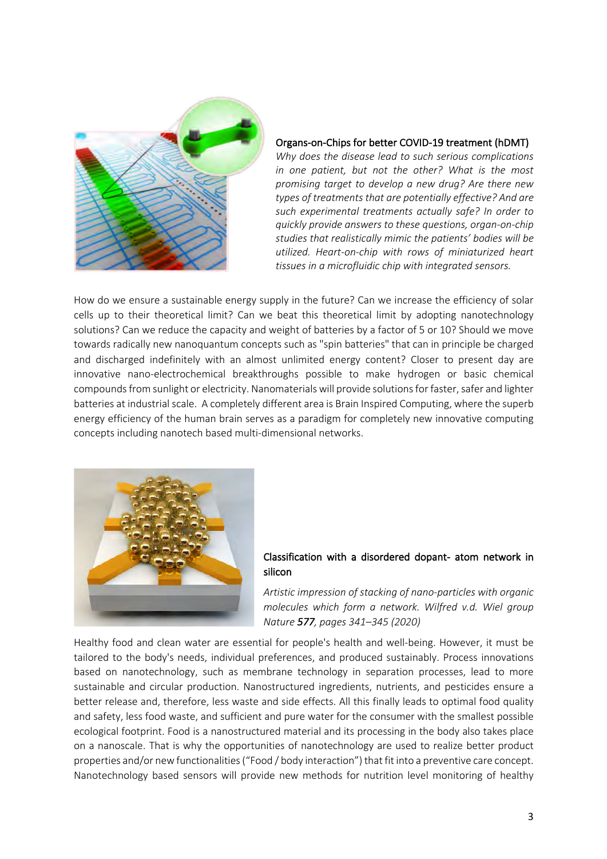

#### Organs-on-Chips for better COVID-19 treatment (hDMT)

*Why does the disease lead to such serious complications in one patient, but not the other? What is the most promising target to develop a new drug? Are there new types of treatments that are potentially effective? And are such experimental treatments actually safe? In order to quickly provide answers to these questions, organ-on-chip studies that realistically mimic the patients' bodies will be utilized. Heart-on-chip with rows of miniaturized heart tissues in a microfluidic chip with integrated sensors.* 

How do we ensure a sustainable energy supply in the future? Can we increase the efficiency of solar cells up to their theoretical limit? Can we beat this theoretical limit by adopting nanotechnology solutions? Can we reduce the capacity and weight of batteries by a factor of 5 or 10? Should we move towards radically new nanoquantum concepts such as "spin batteries" that can in principle be charged and discharged indefinitely with an almost unlimited energy content? Closer to present day are innovative nano-electrochemical breakthroughs possible to make hydrogen or basic chemical compoundsfrom sunlight or electricity. Nanomaterials will provide solutions for faster, safer and lighter batteries at industrial scale. A completely different area is Brain Inspired Computing, where the superb energy efficiency of the human brain serves as a paradigm for completely new innovative computing concepts including nanotech based multi-dimensional networks.



### Classification with a disordered dopant- atom network in silicon

*Artistic impression of stacking of nano-particles with organic molecules which form a network. Wilfred v.d. Wiel group Nature 577, pages 341–345 (2020)* 

Healthy food and clean water are essential for people's health and well-being. However, it must be tailored to the body's needs, individual preferences, and produced sustainably. Process innovations based on nanotechnology, such as membrane technology in separation processes, lead to more sustainable and circular production. Nanostructured ingredients, nutrients, and pesticides ensure a better release and, therefore, less waste and side effects. All this finally leads to optimal food quality and safety, less food waste, and sufficient and pure water for the consumer with the smallest possible ecological footprint. Food is a nanostructured material and its processing in the body also takes place on a nanoscale. That is why the opportunities of nanotechnology are used to realize better product properties and/or new functionalities ("Food / body interaction") that fit into a preventive care concept. Nanotechnology based sensors will provide new methods for nutrition level monitoring of healthy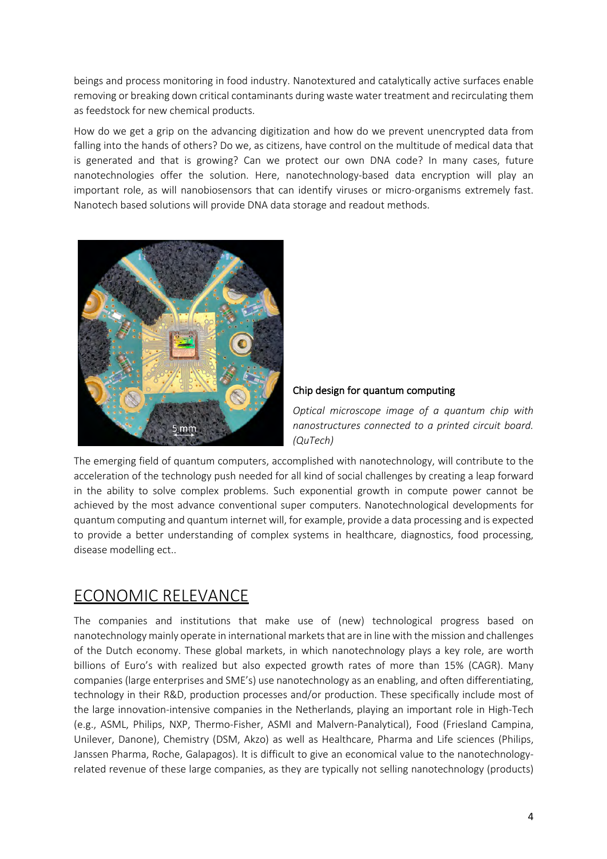beings and process monitoring in food industry. Nanotextured and catalytically active surfaces enable removing or breaking down critical contaminants during waste water treatment and recirculating them as feedstock for new chemical products.

How do we get a grip on the advancing digitization and how do we prevent unencrypted data from falling into the hands of others? Do we, as citizens, have control on the multitude of medical data that is generated and that is growing? Can we protect our own DNA code? In many cases, future nanotechnologies offer the solution. Here, nanotechnology-based data encryption will play an important role, as will nanobiosensors that can identify viruses or micro-organisms extremely fast. Nanotech based solutions will provide DNA data storage and readout methods.



### Chip design for quantum computing

*Optical microscope image of a quantum chip with nanostructures connected to a printed circuit board. (QuTech)*

The emerging field of quantum computers, accomplished with nanotechnology, will contribute to the acceleration of the technology push needed for all kind of social challenges by creating a leap forward in the ability to solve complex problems. Such exponential growth in compute power cannot be achieved by the most advance conventional super computers. Nanotechnological developments for quantum computing and quantum internet will, for example, provide a data processing and is expected to provide a better understanding of complex systems in healthcare, diagnostics, food processing, disease modelling ect..

# ECONOMIC RELEVANCE

The companies and institutions that make use of (new) technological progress based on nanotechnology mainly operate in international markets that are in line with the mission and challenges of the Dutch economy. These global markets, in which nanotechnology plays a key role, are worth billions of Euro's with realized but also expected growth rates of more than 15% (CAGR). Many companies (large enterprises and SME's) use nanotechnology as an enabling, and often differentiating, technology in their R&D, production processes and/or production. These specifically include most of the large innovation-intensive companies in the Netherlands, playing an important role in High-Tech (e.g., ASML, Philips, NXP, Thermo-Fisher, ASMI and Malvern-Panalytical), Food (Friesland Campina, Unilever, Danone), Chemistry (DSM, Akzo) as well as Healthcare, Pharma and Life sciences (Philips, Janssen Pharma, Roche, Galapagos). It is difficult to give an economical value to the nanotechnologyrelated revenue of these large companies, as they are typically not selling nanotechnology (products)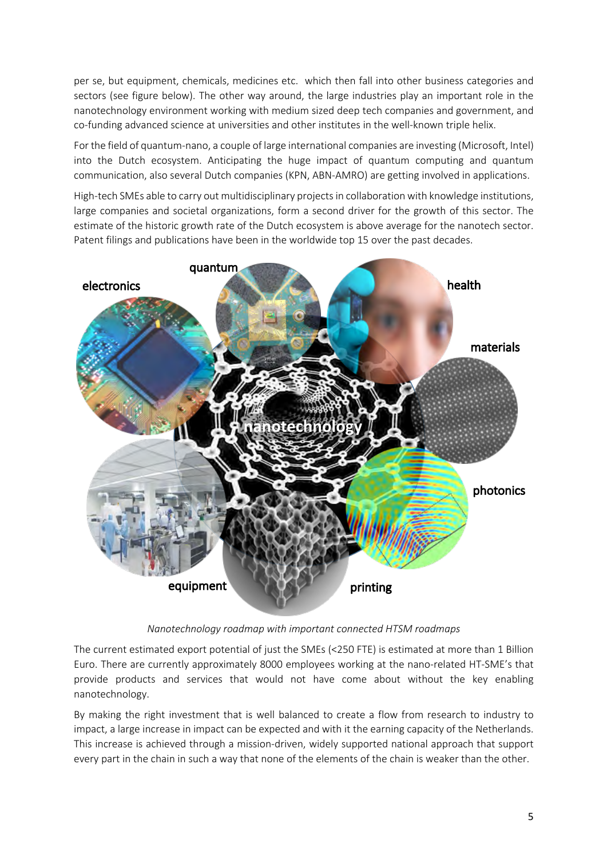per se, but equipment, chemicals, medicines etc. which then fall into other business categories and sectors (see figure below). The other way around, the large industries play an important role in the nanotechnology environment working with medium sized deep tech companies and government, and co-funding advanced science at universities and other institutes in the well-known triple helix.

For the field of quantum-nano, a couple of large international companies are investing (Microsoft, Intel) into the Dutch ecosystem. Anticipating the huge impact of quantum computing and quantum communication, also several Dutch companies (KPN, ABN-AMRO) are getting involved in applications.

High-tech SMEs able to carry out multidisciplinary projects in collaboration with knowledge institutions, large companies and societal organizations, form a second driver for the growth of this sector. The estimate of the historic growth rate of the Dutch ecosystem is above average for the nanotech sector. Patent filings and publications have been in the worldwide top 15 over the past decades.



*Nanotechnology roadmap with important connected HTSM roadmaps*

The current estimated export potential of just the SMEs (<250 FTE) is estimated at more than 1 Billion Euro. There are currently approximately 8000 employees working at the nano-related HT-SME's that provide products and services that would not have come about without the key enabling nanotechnology.

By making the right investment that is well balanced to create a flow from research to industry to impact, a large increase in impact can be expected and with it the earning capacity of the Netherlands. This increase is achieved through a mission-driven, widely supported national approach that support every part in the chain in such a way that none of the elements of the chain is weaker than the other.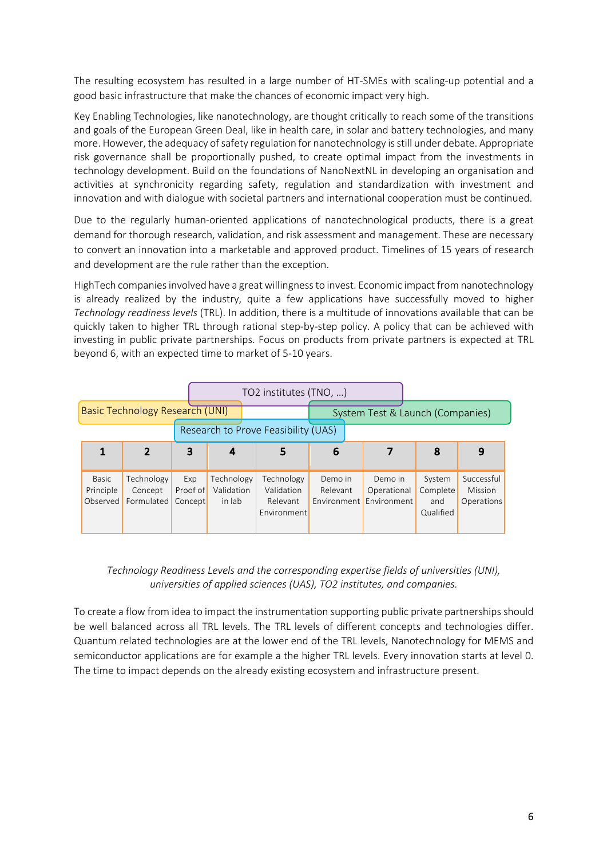The resulting ecosystem has resulted in a large number of HT-SMEs with scaling-up potential and a good basic infrastructure that make the chances of economic impact very high.

Key Enabling Technologies, like nanotechnology, are thought critically to reach some of the transitions and goals of the European Green Deal, like in health care, in solar and battery technologies, and many more. However, the adequacy of safety regulation for nanotechnology is still under debate. Appropriate risk governance shall be proportionally pushed, to create optimal impact from the investments in technology development. Build on the foundations of NanoNextNL in developing an organisation and activities at synchronicity regarding safety, regulation and standardization with investment and innovation and with dialogue with societal partners and international cooperation must be continued.

Due to the regularly human-oriented applications of nanotechnological products, there is a great demand for thorough research, validation, and risk assessment and management. These are necessary to convert an innovation into a marketable and approved product. Timelines of 15 years of research and development are the rule rather than the exception.

HighTech companies involved have a great willingness to invest. Economic impact from nanotechnology is already realized by the industry, quite a few applications have successfully moved to higher *Technology readiness levels* (TRL). In addition, there is a multitude of innovations available that can be quickly taken to higher TRL through rational step-by-step policy. A policy that can be achieved with investing in public private partnerships. Focus on products from private partners is expected at TRL beyond 6, with an expected time to market of 5-10 years.

|                                     | TO2 institutes (TNO, ) |          |            |                                  |          |                         |           |            |
|-------------------------------------|------------------------|----------|------------|----------------------------------|----------|-------------------------|-----------|------------|
| Basic Technology Research (UNI)     |                        |          |            | System Test & Launch (Companies) |          |                         |           |            |
| Research to Prove Feasibility (UAS) |                        |          |            |                                  |          |                         |           |            |
|                                     | 2                      | 3        | 4          | 5                                | 6        |                         | 8         | 9          |
|                                     |                        |          |            |                                  |          |                         |           |            |
| <b>Basic</b>                        | Technology             | Exp      | Technology | Technology                       | Demo in  | Demo in                 | System    | Successful |
| Principle                           | Concept                | Proof of | Validation | Validation                       | Relevant | Operational             | Complete  | Mission    |
| Observed                            | Formulated             | Concept  | in lab     | Relevant                         |          | Environment Environment | and       | Operations |
|                                     |                        |          |            | Environment                      |          |                         | Qualified |            |
|                                     |                        |          |            |                                  |          |                         |           |            |

### *Technology Readiness Levels and the corresponding expertise fields of universities (UNI), universities of applied sciences (UAS), TO2 institutes, and companies.*

To create a flow from idea to impact the instrumentation supporting public private partnerships should be well balanced across all TRL levels. The TRL levels of different concepts and technologies differ. Quantum related technologies are at the lower end of the TRL levels, Nanotechnology for MEMS and semiconductor applications are for example a the higher TRL levels. Every innovation starts at level 0. The time to impact depends on the already existing ecosystem and infrastructure present.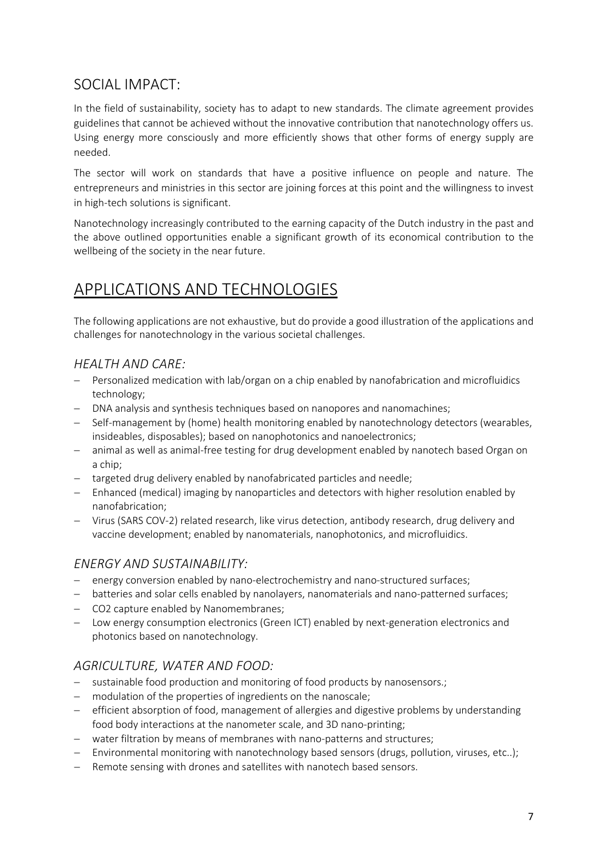# SOCIAL IMPACT:

In the field of sustainability, society has to adapt to new standards. The climate agreement provides guidelines that cannot be achieved without the innovative contribution that nanotechnology offers us. Using energy more consciously and more efficiently shows that other forms of energy supply are needed.

The sector will work on standards that have a positive influence on people and nature. The entrepreneurs and ministries in this sector are joining forces at this point and the willingness to invest in high-tech solutions is significant.

Nanotechnology increasingly contributed to the earning capacity of the Dutch industry in the past and the above outlined opportunities enable a significant growth of its economical contribution to the wellbeing of the society in the near future.

# APPLICATIONS AND TECHNOLOGIES

The following applications are not exhaustive, but do provide a good illustration of the applications and challenges for nanotechnology in the various societal challenges.

### *HEALTH AND CARE:*

- Personalized medication with lab/organ on a chip enabled by nanofabrication and microfluidics technology;
- DNA analysis and synthesis techniques based on nanopores and nanomachines;
- Self-management by (home) health monitoring enabled by nanotechnology detectors (wearables, insideables, disposables); based on nanophotonics and nanoelectronics;
- animal as well as animal-free testing for drug development enabled by nanotech based Organ on a chip;
- targeted drug delivery enabled by nanofabricated particles and needle;
- Enhanced (medical) imaging by nanoparticles and detectors with higher resolution enabled by nanofabrication;
- Virus (SARS COV-2) related research, like virus detection, antibody research, drug delivery and vaccine development; enabled by nanomaterials, nanophotonics, and microfluidics.

### *ENERGY AND SUSTAINABILITY:*

- energy conversion enabled by nano-electrochemistry and nano-structured surfaces;
- batteries and solar cells enabled by nanolayers, nanomaterials and nano-patterned surfaces;
- CO2 capture enabled by Nanomembranes;
- Low energy consumption electronics (Green ICT) enabled by next-generation electronics and photonics based on nanotechnology.

### *AGRICULTURE, WATER AND FOOD:*

- sustainable food production and monitoring of food products by nanosensors.;
- modulation of the properties of ingredients on the nanoscale;
- efficient absorption of food, management of allergies and digestive problems by understanding food body interactions at the nanometer scale, and 3D nano-printing;
- water filtration by means of membranes with nano-patterns and structures;
- Environmental monitoring with nanotechnology based sensors (drugs, pollution, viruses, etc..);
- Remote sensing with drones and satellites with nanotech based sensors.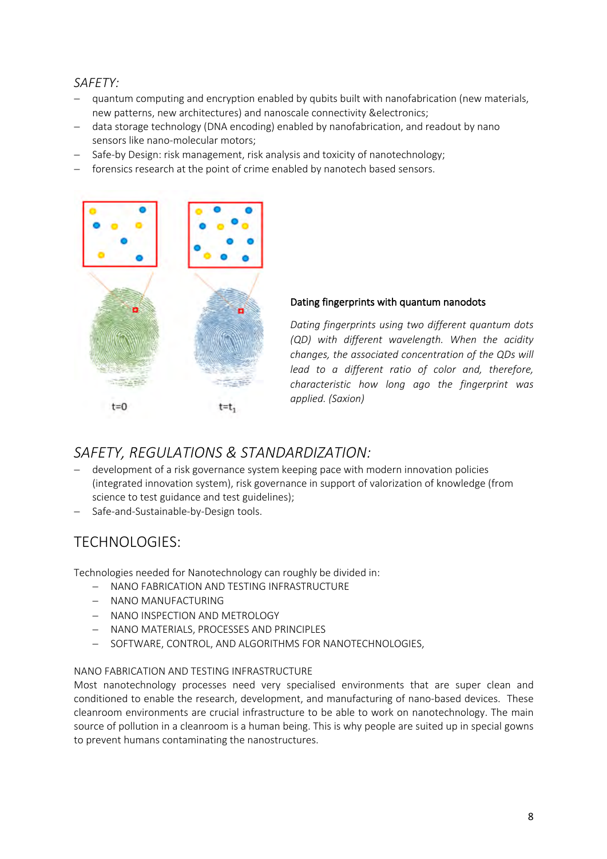### *SAFETY:*

- quantum computing and encryption enabled by qubits built with nanofabrication (new materials, new patterns, new architectures) and nanoscale connectivity &electronics;
- data storage technology (DNA encoding) enabled by nanofabrication, and readout by nano sensors like nano-molecular motors;
- Safe-by Design: risk management, risk analysis and toxicity of nanotechnology;
- forensics research at the point of crime enabled by nanotech based sensors.



### Dating fingerprints with quantum nanodots

*Dating fingerprints using two different quantum dots (QD) with different wavelength. When the acidity changes, the associated concentration of the QDs will lead to a different ratio of color and, therefore, characteristic how long ago the fingerprint was applied. (Saxion)*

# *SAFETY, REGULATIONS & STANDARDIZATION:*

- development of a risk governance system keeping pace with modern innovation policies (integrated innovation system), risk governance in support of valorization of knowledge (from science to test guidance and test guidelines);
- Safe-and-Sustainable-by-Design tools.

# TECHNOLOGIES:

Technologies needed for Nanotechnology can roughly be divided in:

- NANO FABRICATION AND TESTING INFRASTRUCTURE
- NANO MANUFACTURING
- NANO INSPECTION AND METROLOGY
- NANO MATERIALS, PROCESSES AND PRINCIPLES
- SOFTWARE, CONTROL, AND ALGORITHMS FOR NANOTECHNOLOGIES,

### NANO FABRICATION AND TESTING INFRASTRUCTURE

Most nanotechnology processes need very specialised environments that are super clean and conditioned to enable the research, development, and manufacturing of nano-based devices. These cleanroom environments are crucial infrastructure to be able to work on nanotechnology. The main source of pollution in a cleanroom is a human being. This is why people are suited up in special gowns to prevent humans contaminating the nanostructures.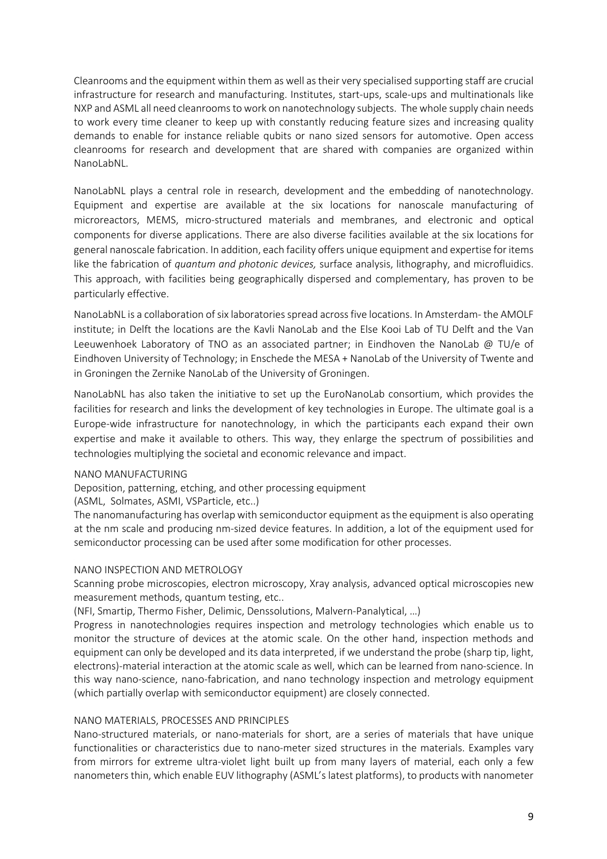Cleanrooms and the equipment within them as well as their very specialised supporting staff are crucial infrastructure for research and manufacturing. Institutes, start-ups, scale-ups and multinationals like NXP and ASML all need cleanrooms to work on nanotechnology subjects. The whole supply chain needs to work every time cleaner to keep up with constantly reducing feature sizes and increasing quality demands to enable for instance reliable qubits or nano sized sensors for automotive. Open access cleanrooms for research and development that are shared with companies are organized within NanoLabNL.

NanoLabNL plays a central role in research, development and the embedding of nanotechnology. Equipment and expertise are available at the six locations for nanoscale manufacturing of microreactors, MEMS, micro-structured materials and membranes, and electronic and optical components for diverse applications. There are also diverse facilities available at the six locations for general nanoscale fabrication. In addition, each facility offers unique equipment and expertise for items like the fabrication of *quantum and photonic devices,* surface analysis, lithography, and microfluidics. This approach, with facilities being geographically dispersed and complementary, has proven to be particularly effective.

NanoLabNL is a collaboration of six laboratories spread across five locations. In Amsterdam- the AMOLF institute; in Delft the locations are the Kavli NanoLab and the Else Kooi Lab of TU Delft and the Van Leeuwenhoek Laboratory of TNO as an associated partner; in Eindhoven the NanoLab @ TU/e of Eindhoven University of Technology; in Enschede the MESA + NanoLab of the University of Twente and in Groningen the Zernike NanoLab of the University of Groningen.

NanoLabNL has also taken the initiative to set up the EuroNanoLab consortium, which provides the facilities for research and links the development of key technologies in Europe. The ultimate goal is a Europe-wide infrastructure for nanotechnology, in which the participants each expand their own expertise and make it available to others. This way, they enlarge the spectrum of possibilities and technologies multiplying the societal and economic relevance and impact.

#### NANO MANUFACTURING

Deposition, patterning, etching, and other processing equipment

(ASML, Solmates, ASMI, VSParticle, etc..)

The nanomanufacturing has overlap with semiconductor equipment as the equipment is also operating at the nm scale and producing nm-sized device features. In addition, a lot of the equipment used for semiconductor processing can be used after some modification for other processes.

#### NANO INSPECTION AND METROLOGY

Scanning probe microscopies, electron microscopy, Xray analysis, advanced optical microscopies new measurement methods, quantum testing, etc..

(NFI, Smartip, Thermo Fisher, Delimic, Denssolutions, Malvern-Panalytical, …)

Progress in nanotechnologies requires inspection and metrology technologies which enable us to monitor the structure of devices at the atomic scale. On the other hand, inspection methods and equipment can only be developed and its data interpreted, if we understand the probe (sharp tip, light, electrons)-material interaction at the atomic scale as well, which can be learned from nano-science. In this way nano-science, nano-fabrication, and nano technology inspection and metrology equipment (which partially overlap with semiconductor equipment) are closely connected.

#### NANO MATERIALS, PROCESSES AND PRINCIPLES

Nano-structured materials, or nano-materials for short, are a series of materials that have unique functionalities or characteristics due to nano-meter sized structures in the materials. Examples vary from mirrors for extreme ultra-violet light built up from many layers of material, each only a few nanometers thin, which enable EUV lithography (ASML's latest platforms), to products with nanometer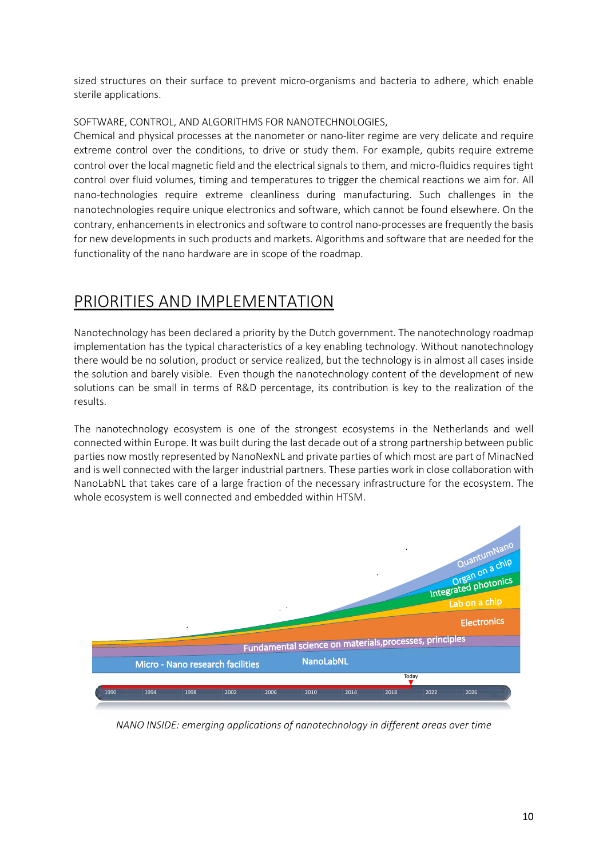sized structures on their surface to prevent micro-organisms and bacteria to adhere, which enable sterile applications.

### SOFTWARE, CONTROL, AND ALGORITHMS FOR NANOTECHNOLOGIES,

Chemical and physical processes at the nanometer or nano-liter regime are very delicate and require extreme control over the conditions, to drive or study them. For example, qubits require extreme control over the local magnetic field and the electrical signals to them, and micro-fluidics requires tight control over fluid volumes, timing and temperatures to trigger the chemical reactions we aim for. All nano-technologies require extreme cleanliness during manufacturing. Such challenges in the nanotechnologies require unique electronics and software, which cannot be found elsewhere. On the contrary, enhancements in electronics and software to control nano-processes are frequently the basis for new developments in such products and markets. Algorithms and software that are needed for the functionality of the nano hardware are in scope of the roadmap.

# PRIORITIES AND IMPLEMENTATION

Nanotechnology has been declared a priority by the Dutch government. The nanotechnology roadmap implementation has the typical characteristics of a key enabling technology. Without nanotechnology there would be no solution, product or service realized, but the technology is in almost all cases inside the solution and barely visible. Even though the nanotechnology content of the development of new solutions can be small in terms of R&D percentage, its contribution is key to the realization of the results.

The nanotechnology ecosystem is one of the strongest ecosystems in the Netherlands and well connected within Europe. It was built during the last decade out of a strong partnership between public parties now mostly represented by NanoNexNL and private parties of which most are part of MinacNed and is well connected with the larger industrial partners. These parties work in close collaboration with NanoLabNL that takes care of a large fraction of the necessary infrastructure for the ecosystem. The whole ecosystem is well connected and embedded within HTSM.



*NANO INSIDE: emerging applications of nanotechnology in different areas over time*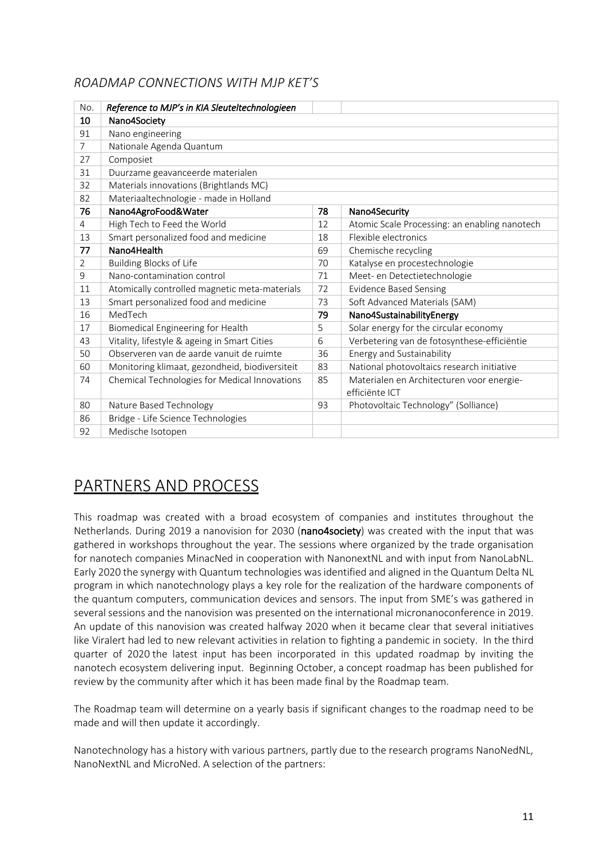### *ROADMAP CONNECTIONS WITH MJP KET'S*

| No.            | Reference to MJP's in KIA Sleuteltechnologieen |    |                                               |  |  |
|----------------|------------------------------------------------|----|-----------------------------------------------|--|--|
| 10             | Nano4Society                                   |    |                                               |  |  |
| 91             | Nano engineering                               |    |                                               |  |  |
| $\overline{7}$ | Nationale Agenda Quantum                       |    |                                               |  |  |
| 27             | Composiet                                      |    |                                               |  |  |
| 31             | Duurzame geavanceerde materialen               |    |                                               |  |  |
| 32             | Materials innovations (Brightlands MC)         |    |                                               |  |  |
| 82             | Materiaaltechnologie - made in Holland         |    |                                               |  |  |
| 76             | Nano4AgroFood&Water                            | 78 | Nano4Security                                 |  |  |
| $\overline{4}$ | High Tech to Feed the World                    | 12 | Atomic Scale Processing: an enabling nanotech |  |  |
| 13             | Smart personalized food and medicine           | 18 | Flexible electronics                          |  |  |
| 77             | Nano4Health                                    | 69 | Chemische recycling                           |  |  |
| 2              | <b>Building Blocks of Life</b>                 | 70 | Katalyse en procestechnologie                 |  |  |
| 9              | Nano-contamination control                     | 71 | Meet- en Detectietechnologie                  |  |  |
| 11             | Atomically controlled magnetic meta-materials  | 72 | <b>Evidence Based Sensing</b>                 |  |  |
| 13             | Smart personalized food and medicine           | 73 | Soft Advanced Materials (SAM)                 |  |  |
| 16             | MedTech                                        | 79 | Nano4SustainabilityEnergy                     |  |  |
| 17             | Biomedical Engineering for Health              | 5  | Solar energy for the circular economy         |  |  |
| 43             | Vitality, lifestyle & ageing in Smart Cities   | 6  | Verbetering van de fotosynthese-efficiëntie   |  |  |
| 50             | Observeren van de aarde vanuit de ruimte       | 36 | Energy and Sustainability                     |  |  |
| 60             | Monitoring klimaat, gezondheid, biodiversiteit | 83 | National photovoltaics research initiative    |  |  |
| 74             | Chemical Technologies for Medical Innovations  | 85 | Materialen en Architecturen voor energie-     |  |  |
|                |                                                |    | efficiënte ICT                                |  |  |
| 80             | Nature Based Technology                        | 93 | Photovoltaic Technology" (Solliance)          |  |  |
| 86             | Bridge - Life Science Technologies             |    |                                               |  |  |
| 92             | Medische Isotopen                              |    |                                               |  |  |

# PARTNERS AND PROCESS

This roadmap was created with a broad ecosystem of companies and institutes throughout the Netherlands. During 2019 a nanovision for 2030 (nano4society) was created with the input that was gathered in workshops throughout the year. The sessions where organized by the trade organisation for nanotech companies MinacNed in cooperation with NanonextNL and with input from NanoLabNL. Early 2020 the synergy with Quantum technologies was identified and aligned in the Quantum Delta NL program in which nanotechnology plays a key role for the realization of the hardware components of the quantum computers, communication devices and sensors. The input from SME's was gathered in several sessions and the nanovision was presented on the international micronanoconference in 2019. An update of this nanovision was created halfway 2020 when it became clear that several initiatives like Viralert had led to new relevant activities in relation to fighting a pandemic in society. In the third quarter of 2020 the latest input has been incorporated in this updated roadmap by inviting the nanotech ecosystem delivering input. Beginning October, a concept roadmap has been published for review by the community after which it has been made final by the Roadmap team.

The Roadmap team will determine on a yearly basis if significant changes to the roadmap need to be made and will then update it accordingly.

Nanotechnology has a history with various partners, partly due to the research programs NanoNedNL, NanoNextNL and MicroNed. A selection of the partners: